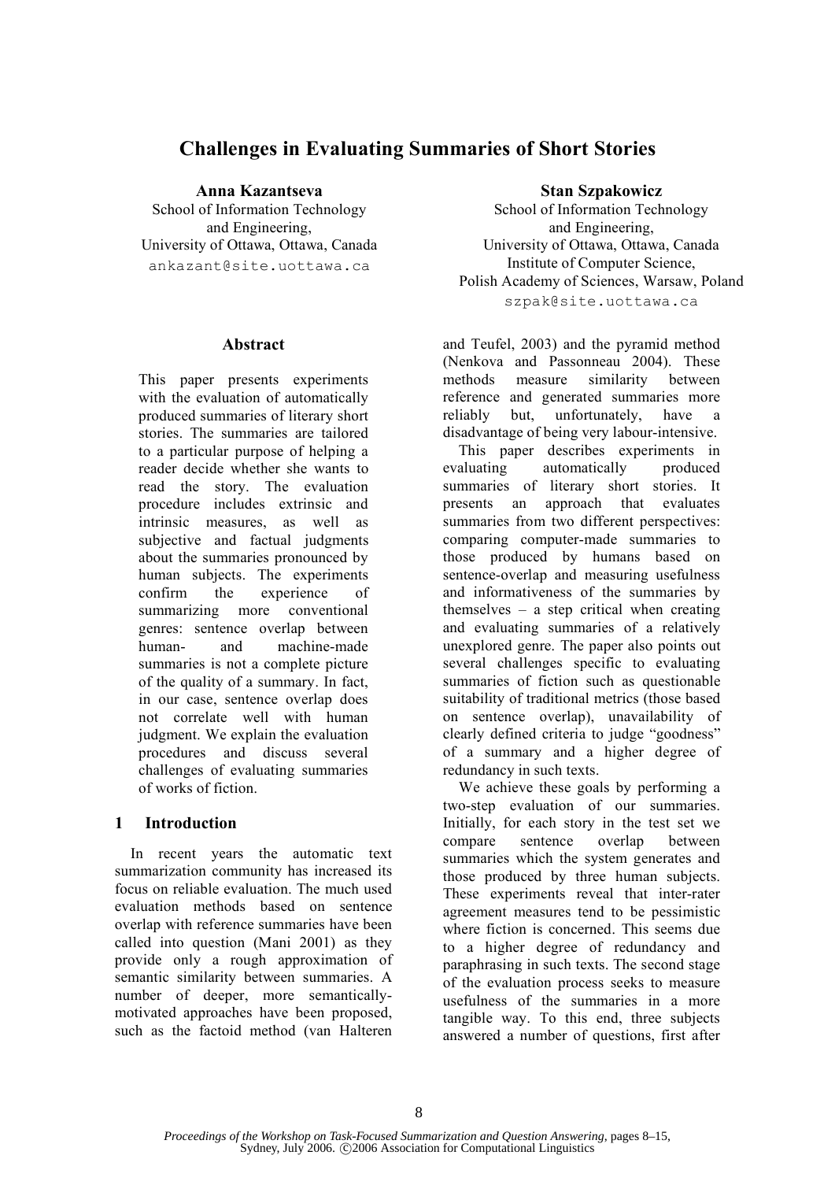# **Challenges in Evaluating Summaries of Short Stories**

**Anna Kazantseva**

School of Information Technology and Engineering, University of Ottawa, Ottawa, Canada ankazant@site.uottawa.ca

## **Abstract**

This paper presents experiments with the evaluation of automatically produced summaries of literary short stories. The summaries are tailored to a particular purpose of helping a reader decide whether she wants to read the story. The evaluation procedure includes extrinsic and intrinsic measures, as well as subjective and factual judgments about the summaries pronounced by human subjects. The experiments confirm the experience of summarizing more conventional genres: sentence overlap between human- and machine-made summaries is not a complete picture of the quality of a summary. In fact, in our case, sentence overlap does not correlate well with human judgment. We explain the evaluation procedures and discuss several challenges of evaluating summaries of works of fiction.

## **1 Introduction**

In recent years the automatic text summarization community has increased its focus on reliable evaluation. The much used evaluation methods based on sentence overlap with reference summaries have been called into question (Mani 2001) as they provide only a rough approximation of semantic similarity between summaries. A number of deeper, more semanticallymotivated approaches have been proposed, such as the factoid method (van Halteren

## **Stan Szpakowicz**

School of Information Technology and Engineering, University of Ottawa, Ottawa, Canada Institute of Computer Science, Polish Academy of Sciences, Warsaw, Poland szpak@site.uottawa.ca

and Teufel, 2003) and the pyramid method (Nenkova and Passonneau 2004). These methods measure similarity between reference and generated summaries more reliably but, unfortunately, have a disadvantage of being very labour-intensive.

This paper describes experiments in evaluating automatically produced summaries of literary short stories. It presents an approach that evaluates summaries from two different perspectives: comparing computer-made summaries to those produced by humans based on sentence-overlap and measuring usefulness and informativeness of the summaries by themselves – a step critical when creating and evaluating summaries of a relatively unexplored genre. The paper also points out several challenges specific to evaluating summaries of fiction such as questionable suitability of traditional metrics (those based on sentence overlap), unavailability of clearly defined criteria to judge "goodness" of a summary and a higher degree of redundancy in such texts.

We achieve these goals by performing a two-step evaluation of our summaries. Initially, for each story in the test set we compare sentence overlap between summaries which the system generates and those produced by three human subjects. These experiments reveal that inter-rater agreement measures tend to be pessimistic where fiction is concerned. This seems due to a higher degree of redundancy and paraphrasing in such texts. The second stage of the evaluation process seeks to measure usefulness of the summaries in a more tangible way. To this end, three subjects answered a number of questions, first after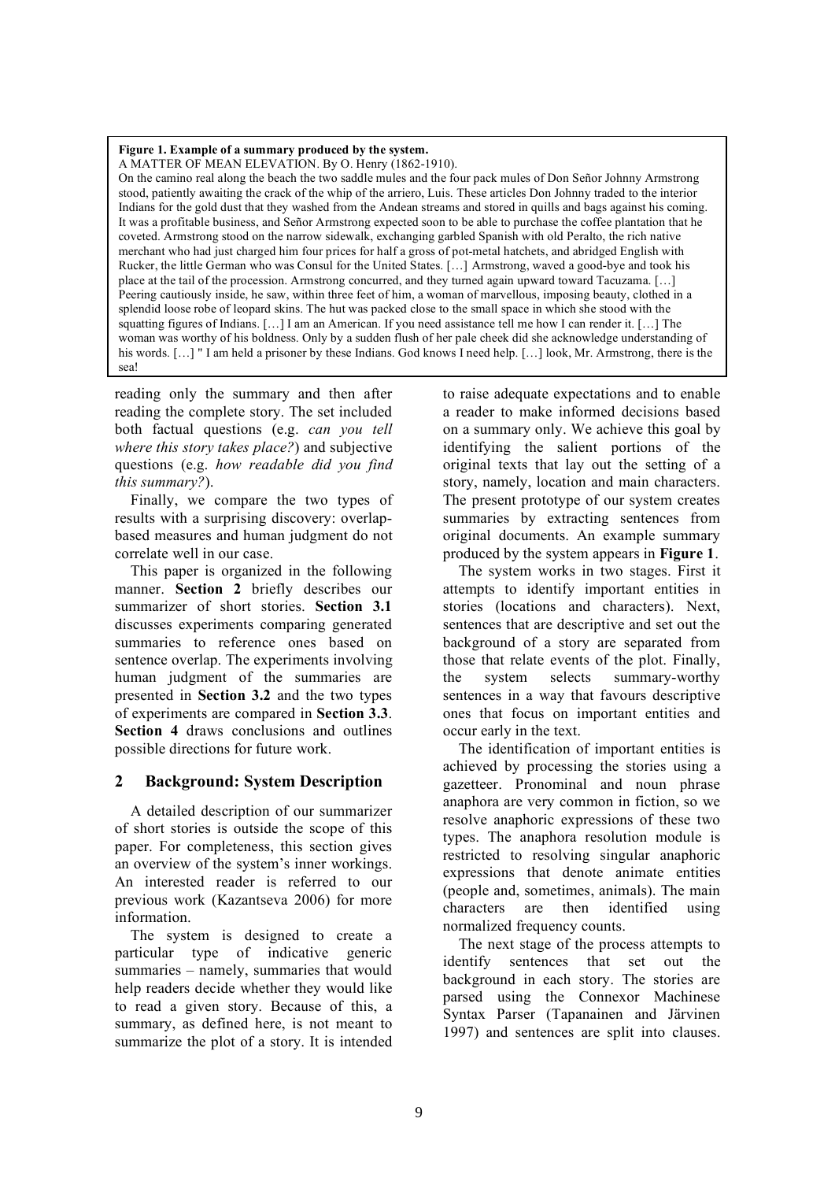#### **Figure 1. Example of a summary produced by the system.**

A MATTER OF MEAN ELEVATION. By O. Henry (1862-1910).

On the camino real along the beach the two saddle mules and the four pack mules of Don Señor Johnny Armstrong stood, patiently awaiting the crack of the whip of the arriero, Luis. These articles Don Johnny traded to the interior Indians for the gold dust that they washed from the Andean streams and stored in quills and bags against his coming. It was a profitable business, and Señor Armstrong expected soon to be able to purchase the coffee plantation that he coveted. Armstrong stood on the narrow sidewalk, exchanging garbled Spanish with old Peralto, the rich native merchant who had just charged him four prices for half a gross of pot-metal hatchets, and abridged English with Rucker, the little German who was Consul for the United States. […] Armstrong, waved a good-bye and took his place at the tail of the procession. Armstrong concurred, and they turned again upward toward Tacuzama. […] Peering cautiously inside, he saw, within three feet of him, a woman of marvellous, imposing beauty, clothed in a splendid loose robe of leopard skins. The hut was packed close to the small space in which she stood with the squatting figures of Indians. […] I am an American. If you need assistance tell me how I can render it. […] The woman was worthy of his boldness. Only by a sudden flush of her pale cheek did she acknowledge understanding of his words. [...] " I am held a prisoner by these Indians. God knows I need help. [...] look, Mr. Armstrong, there is the sea!

reading only the summary and then after reading the complete story. The set included both factual questions (e.g. *can you tell where this story takes place?*) and subjective questions (e.g. *how readable did you find this summary?*).

Finally, we compare the two types of results with a surprising discovery: overlapbased measures and human judgment do not correlate well in our case.

This paper is organized in the following manner. **Section 2** briefly describes our summarizer of short stories. **Section 3.1** discusses experiments comparing generated summaries to reference ones based on sentence overlap. The experiments involving human judgment of the summaries are presented in **Section 3.2** and the two types of experiments are compared in **Section 3.3**. **Section 4** draws conclusions and outlines possible directions for future work.

## **2 Background: System Description**

A detailed description of our summarizer of short stories is outside the scope of this paper. For completeness, this section gives an overview of the system's inner workings. An interested reader is referred to our previous work (Kazantseva 2006) for more information.

The system is designed to create a particular type of indicative generic summaries – namely, summaries that would help readers decide whether they would like to read a given story. Because of this, a summary, as defined here, is not meant to summarize the plot of a story. It is intended

to raise adequate expectations and to enable a reader to make informed decisions based on a summary only. We achieve this goal by identifying the salient portions of the original texts that lay out the setting of a story, namely, location and main characters. The present prototype of our system creates summaries by extracting sentences from original documents. An example summary produced by the system appears in **Figure 1**.

The system works in two stages. First it attempts to identify important entities in stories (locations and characters). Next, sentences that are descriptive and set out the background of a story are separated from those that relate events of the plot. Finally, the system selects summary-worthy sentences in a way that favours descriptive ones that focus on important entities and occur early in the text.

The identification of important entities is achieved by processing the stories using a gazetteer. Pronominal and noun phrase anaphora are very common in fiction, so we resolve anaphoric expressions of these two types. The anaphora resolution module is restricted to resolving singular anaphoric expressions that denote animate entities (people and, sometimes, animals). The main characters are then identified using normalized frequency counts.

The next stage of the process attempts to identify sentences that set out the background in each story. The stories are parsed using the Connexor Machinese Syntax Parser (Tapanainen and Järvinen 1997) and sentences are split into clauses.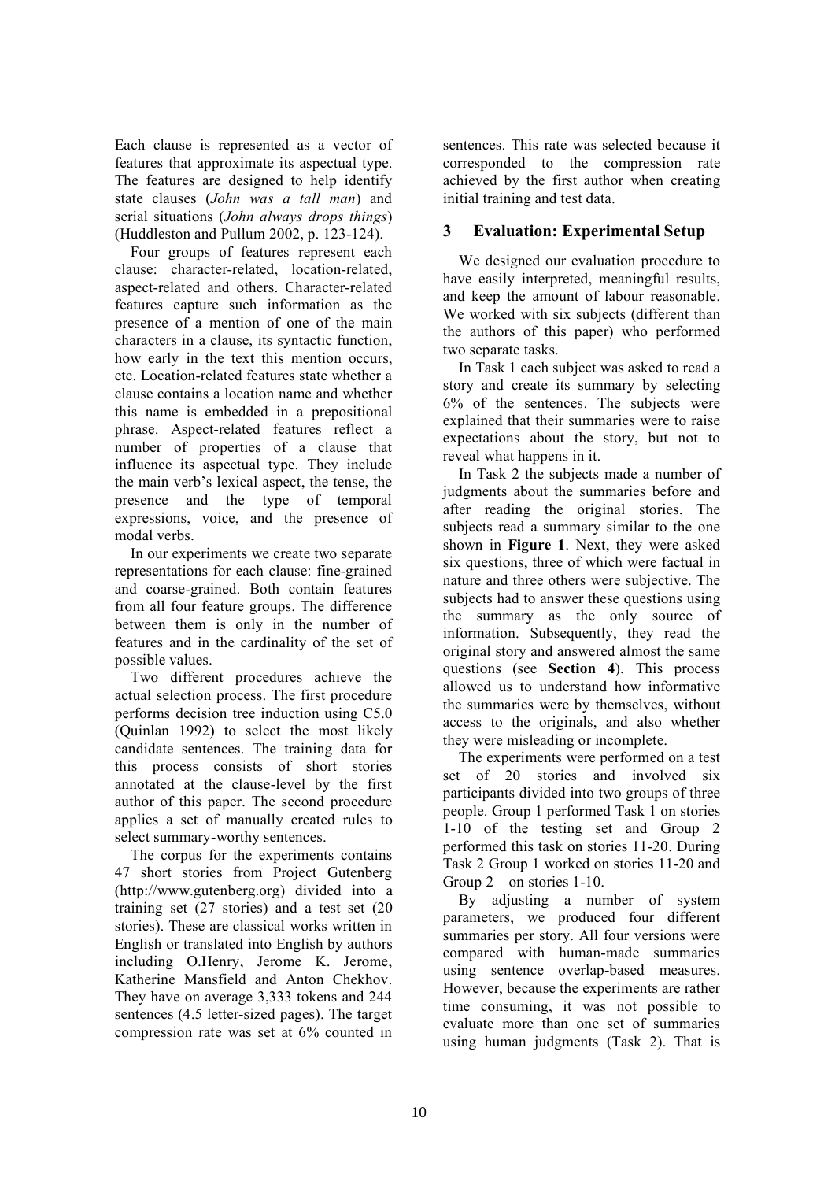Each clause is represented as a vector of features that approximate its aspectual type. The features are designed to help identify state clauses (*John was a tall man*) and serial situations (*John always drops things*) (Huddleston and Pullum 2002, p. 123-124).

Four groups of features represent each clause: character-related, location-related, aspect-related and others. Character-related features capture such information as the presence of a mention of one of the main characters in a clause, its syntactic function, how early in the text this mention occurs, etc. Location-related features state whether a clause contains a location name and whether this name is embedded in a prepositional phrase. Aspect-related features reflect a number of properties of a clause that influence its aspectual type. They include the main verb's lexical aspect, the tense, the presence and the type of temporal expressions, voice, and the presence of modal verbs.

In our experiments we create two separate representations for each clause: fine-grained and coarse-grained. Both contain features from all four feature groups. The difference between them is only in the number of features and in the cardinality of the set of possible values.

Two different procedures achieve the actual selection process. The first procedure performs decision tree induction using C5.0 (Quinlan 1992) to select the most likely candidate sentences. The training data for this process consists of short stories annotated at the clause-level by the first author of this paper. The second procedure applies a set of manually created rules to select summary-worthy sentences.

The corpus for the experiments contains 47 short stories from Project Gutenberg (http://www.gutenberg.org) divided into a training set (27 stories) and a test set (20 stories). These are classical works written in English or translated into English by authors including O.Henry, Jerome K. Jerome, Katherine Mansfield and Anton Chekhov. They have on average 3,333 tokens and 244 sentences (4.5 letter-sized pages). The target compression rate was set at 6% counted in

sentences. This rate was selected because it corresponded to the compression rate achieved by the first author when creating initial training and test data.

## **3 Evaluation: Experimental Setup**

We designed our evaluation procedure to have easily interpreted, meaningful results, and keep the amount of labour reasonable. We worked with six subjects (different than the authors of this paper) who performed two separate tasks.

In Task 1 each subject was asked to read a story and create its summary by selecting 6% of the sentences. The subjects were explained that their summaries were to raise expectations about the story, but not to reveal what happens in it.

In Task 2 the subjects made a number of judgments about the summaries before and after reading the original stories. The subjects read a summary similar to the one shown in **Figure 1**. Next, they were asked six questions, three of which were factual in nature and three others were subjective. The subjects had to answer these questions using the summary as the only source of information. Subsequently, they read the original story and answered almost the same questions (see **Section 4**). This process allowed us to understand how informative the summaries were by themselves, without access to the originals, and also whether they were misleading or incomplete.

The experiments were performed on a test set of 20 stories and involved six participants divided into two groups of three people. Group 1 performed Task 1 on stories 1-10 of the testing set and Group 2 performed this task on stories 11-20. During Task 2 Group 1 worked on stories 11-20 and Group 2 – on stories 1-10.

By adjusting a number of system parameters, we produced four different summaries per story. All four versions were compared with human-made summaries using sentence overlap-based measures. However, because the experiments are rather time consuming, it was not possible to evaluate more than one set of summaries using human judgments (Task 2). That is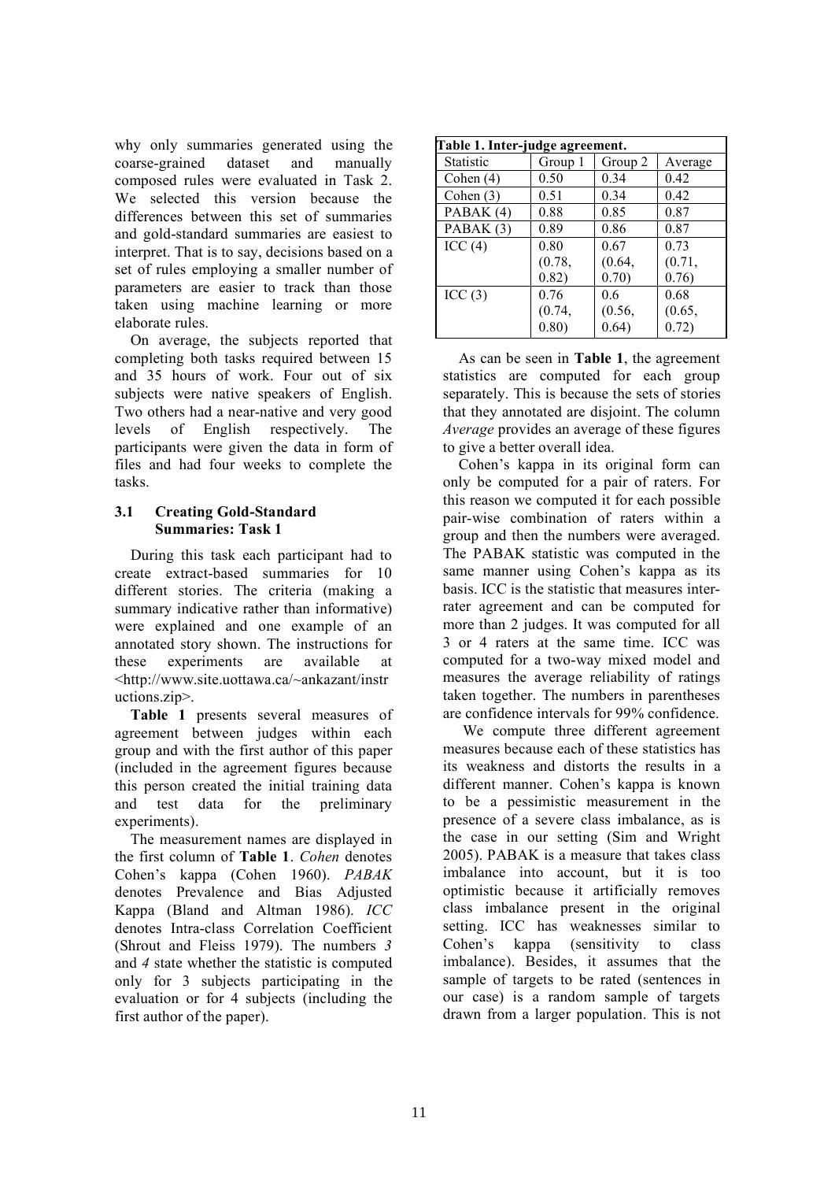why only summaries generated using the coarse-grained dataset and manually composed rules were evaluated in Task 2. We selected this version because the differences between this set of summaries and gold-standard summaries are easiest to interpret. That is to say, decisions based on a set of rules employing a smaller number of parameters are easier to track than those taken using machine learning or more elaborate rules.

On average, the subjects reported that completing both tasks required between 15 and 35 hours of work. Four out of six subjects were native speakers of English. Two others had a near-native and very good levels of English respectively. The participants were given the data in form of files and had four weeks to complete the tasks.

## **3.1 Creating Gold-Standard Summaries: Task 1**

During this task each participant had to create extract-based summaries for 10 different stories. The criteria (making a summary indicative rather than informative) were explained and one example of an annotated story shown. The instructions for these experiments are available at <http://www.site.uottawa.ca/~ankazant/instr uctions.zip>.

**Table 1** presents several measures of agreement between judges within each group and with the first author of this paper (included in the agreement figures because this person created the initial training data and test data for the preliminary experiments).

The measurement names are displayed in the first column of **Table 1**. *Cohen* denotes Cohen's kappa (Cohen 1960). *PABAK* denotes Prevalence and Bias Adjusted Kappa (Bland and Altman 1986). *ICC* denotes Intra-class Correlation Coefficient (Shrout and Fleiss 1979). The numbers *3* and *4* state whether the statistic is computed only for 3 subjects participating in the evaluation or for 4 subjects (including the first author of the paper).

| Table 1. Inter-judge agreement. |         |         |         |  |  |
|---------------------------------|---------|---------|---------|--|--|
| <b>Statistic</b>                | Group 1 | Group 2 | Average |  |  |
| Cohen $(4)$                     | 0.50    | 0.34    | 0.42    |  |  |
| Cohen $(3)$                     | 0.51    | 0.34    | 0.42    |  |  |
| PABAK (4)                       | 0.88    | 0.85    | 0.87    |  |  |
| PABAK (3)                       | 0.89    | 0.86    | 0.87    |  |  |
| ICC(4)                          | 0.80    | 0.67    | 0.73    |  |  |
|                                 | (0.78,  | (0.64,  | (0.71,  |  |  |
|                                 | 0.82)   | 0.70)   | 0.76)   |  |  |
| ICC(3)                          | 0.76    | 0.6     | 0.68    |  |  |
|                                 | (0.74,  | (0.56,  | (0.65,  |  |  |
|                                 | 0.80)   | 0.64)   | 0.72)   |  |  |

As can be seen in **Table 1**, the agreement statistics are computed for each group separately. This is because the sets of stories that they annotated are disjoint. The column *Average* provides an average of these figures to give a better overall idea.

Cohen's kappa in its original form can only be computed for a pair of raters. For this reason we computed it for each possible pair-wise combination of raters within a group and then the numbers were averaged. The PABAK statistic was computed in the same manner using Cohen's kappa as its basis. ICC is the statistic that measures interrater agreement and can be computed for more than 2 judges. It was computed for all 3 or 4 raters at the same time. ICC was computed for a two-way mixed model and measures the average reliability of ratings taken together. The numbers in parentheses are confidence intervals for 99% confidence.

We compute three different agreement measures because each of these statistics has its weakness and distorts the results in a different manner. Cohen's kappa is known to be a pessimistic measurement in the presence of a severe class imbalance, as is the case in our setting (Sim and Wright 2005). PABAK is a measure that takes class imbalance into account, but it is too optimistic because it artificially removes class imbalance present in the original setting. ICC has weaknesses similar to Cohen's kappa (sensitivity to class imbalance). Besides, it assumes that the sample of targets to be rated (sentences in our case) is a random sample of targets drawn from a larger population. This is not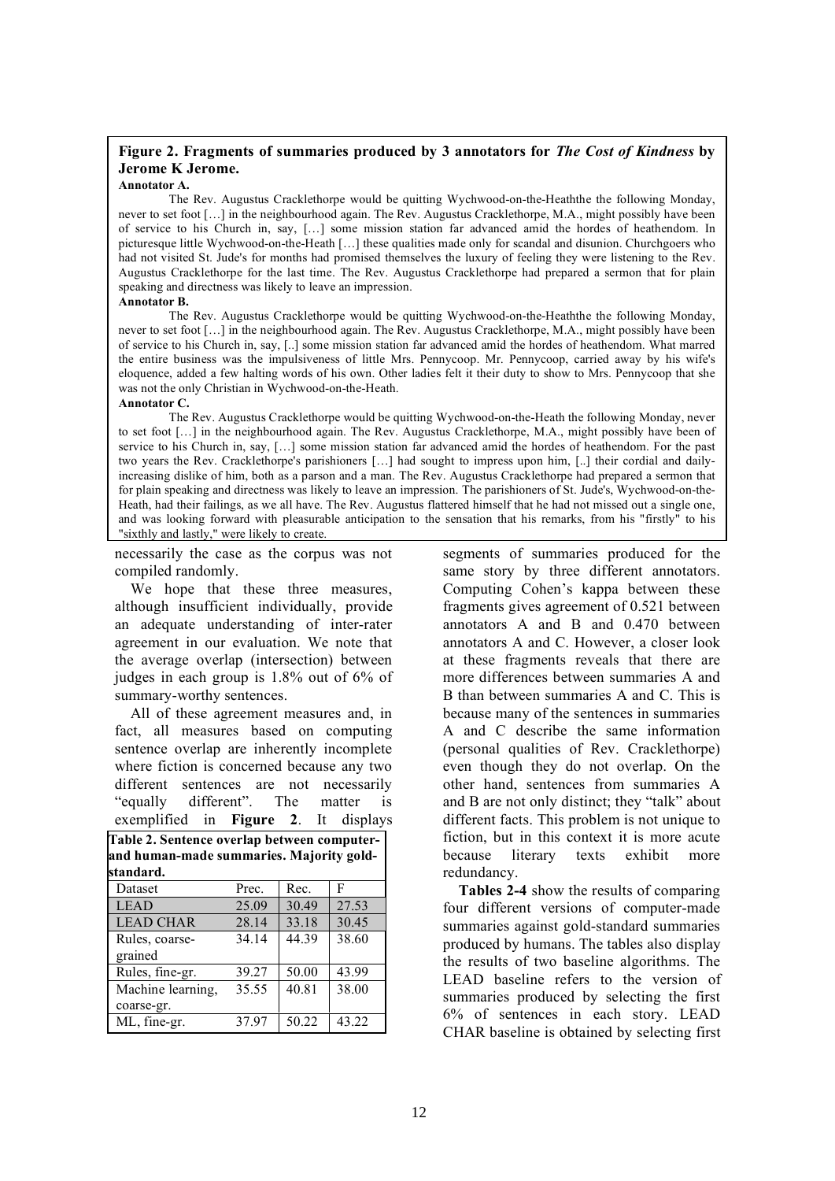## **Figure 2. Fragments of summaries produced by 3 annotators for** *The Cost of Kindness* **by Jerome K Jerome.**

#### **Annotator A.**

The Rev. Augustus Cracklethorpe would be quitting Wychwood-on-the-Heaththe the following Monday, never to set foot [...] in the neighbourhood again. The Rev. Augustus Cracklethorpe, M.A., might possibly have been of service to his Church in, say, […] some mission station far advanced amid the hordes of heathendom. In picturesque little Wychwood-on-the-Heath […] these qualities made only for scandal and disunion. Churchgoers who had not visited St. Jude's for months had promised themselves the luxury of feeling they were listening to the Rev. Augustus Cracklethorpe for the last time. The Rev. Augustus Cracklethorpe had prepared a sermon that for plain speaking and directness was likely to leave an impression.

#### **Annotator B.**

The Rev. Augustus Cracklethorpe would be quitting Wychwood-on-the-Heaththe the following Monday, never to set foot [...] in the neighbourhood again. The Rev. Augustus Cracklethorpe, M.A., might possibly have been of service to his Church in, say, [..] some mission station far advanced amid the hordes of heathendom. What marred the entire business was the impulsiveness of little Mrs. Pennycoop. Mr. Pennycoop, carried away by his wife's eloquence, added a few halting words of his own. Other ladies felt it their duty to show to Mrs. Pennycoop that she was not the only Christian in Wychwood-on-the-Heath. **Annotator C.**

The Rev. Augustus Cracklethorpe would be quitting Wychwood-on-the-Heath the following Monday, never to set foot [...] in the neighbourhood again. The Rev. Augustus Cracklethorpe, M.A., might possibly have been of service to his Church in, say, [...] some mission station far advanced amid the hordes of heathendom. For the past two years the Rev. Cracklethorpe's parishioners […] had sought to impress upon him, [..] their cordial and dailyincreasing dislike of him, both as a parson and a man. The Rev. Augustus Cracklethorpe had prepared a sermon that for plain speaking and directness was likely to leave an impression. The parishioners of St. Jude's, Wychwood-on-the-Heath, had their failings, as we all have. The Rev. Augustus flattered himself that he had not missed out a single one, and was looking forward with pleasurable anticipation to the sensation that his remarks, from his "firstly" to his

"sixthly and lastly," were likely to create.

necessarily the case as the corpus was not compiled randomly.

We hope that these three measures, although insufficient individually, provide an adequate understanding of inter-rater agreement in our evaluation. We note that the average overlap (intersection) between judges in each group is 1.8% out of 6% of summary-worthy sentences.

All of these agreement measures and, in fact, all measures based on computing sentence overlap are inherently incomplete where fiction is concerned because any two different sentences are not necessarily "equally different". The matter is exemplified in **Figure 2**. It displays

| Table 2. Sentence overlap between computer-<br>and human-made summaries. Majority gold- |       |       |       |  |  |
|-----------------------------------------------------------------------------------------|-------|-------|-------|--|--|
| standard.                                                                               |       |       |       |  |  |
| Dataset                                                                                 | Prec. | Rec.  | F     |  |  |
| <b>LEAD</b>                                                                             | 25.09 | 30.49 | 27.53 |  |  |
| <b>LEAD CHAR</b>                                                                        | 28.14 | 33.18 | 30.45 |  |  |
| Rules, coarse-                                                                          | 34.14 | 44.39 | 38.60 |  |  |
| grained                                                                                 |       |       |       |  |  |
| Rules, fine-gr.                                                                         | 39.27 | 50.00 | 43.99 |  |  |
| Machine learning,                                                                       | 35.55 | 40.81 | 38.00 |  |  |
| coarse-gr.                                                                              |       |       |       |  |  |
| ML, fine-gr.                                                                            | 37.97 | 50.22 | 43.22 |  |  |
|                                                                                         |       |       |       |  |  |

segments of summaries produced for the same story by three different annotators. Computing Cohen's kappa between these fragments gives agreement of 0.521 between annotators A and B and 0.470 between annotators A and C. However, a closer look at these fragments reveals that there are more differences between summaries A and B than between summaries A and C. This is because many of the sentences in summaries A and C describe the same information (personal qualities of Rev. Cracklethorpe) even though they do not overlap. On the other hand, sentences from summaries A and B are not only distinct; they "talk" about different facts. This problem is not unique to fiction, but in this context it is more acute because literary texts exhibit more redundancy.

**Tables 2-4** show the results of comparing four different versions of computer-made summaries against gold-standard summaries produced by humans. The tables also display the results of two baseline algorithms. The LEAD baseline refers to the version of summaries produced by selecting the first 6% of sentences in each story. LEAD CHAR baseline is obtained by selecting first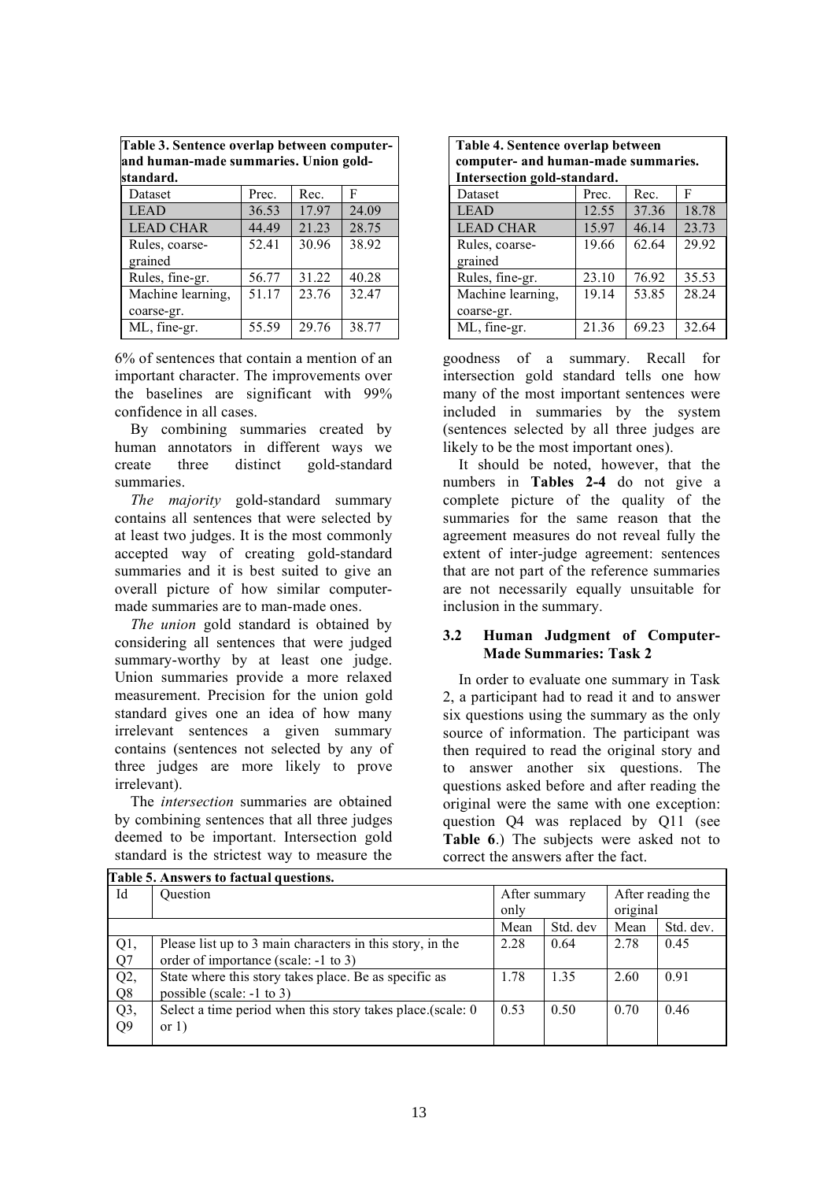| Table 3. Sentence overlap between computer-<br>and human-made summaries. Union gold-<br>standard. |       |       |       |  |  |
|---------------------------------------------------------------------------------------------------|-------|-------|-------|--|--|
| Dataset                                                                                           | Prec. | Rec.  | F     |  |  |
| <b>LEAD</b>                                                                                       | 36.53 | 17.97 | 24.09 |  |  |
| <b>LEAD CHAR</b>                                                                                  | 44.49 | 21.23 | 28.75 |  |  |
| Rules, coarse-<br>grained                                                                         | 52.41 | 30.96 | 38.92 |  |  |
| Rules, fine-gr.                                                                                   | 56.77 | 31.22 | 40.28 |  |  |
| Machine learning,<br>coarse-gr.                                                                   | 51.17 | 23.76 | 32.47 |  |  |
| ML, fine-gr.                                                                                      | 55.59 | 29.76 | 38.77 |  |  |

6% of sentences that contain a mention of an important character. The improvements over the baselines are significant with 99% confidence in all cases.

By combining summaries created by human annotators in different ways we create three distinct gold-standard summaries.

*The majority* gold-standard summary contains all sentences that were selected by at least two judges. It is the most commonly accepted way of creating gold-standard summaries and it is best suited to give an overall picture of how similar computermade summaries are to man-made ones.

*The union* gold standard is obtained by considering all sentences that were judged summary-worthy by at least one judge. Union summaries provide a more relaxed measurement. Precision for the union gold standard gives one an idea of how many irrelevant sentences a given summary contains (sentences not selected by any of three judges are more likely to prove irrelevant).

The *intersection* summaries are obtained by combining sentences that all three judges deemed to be important. Intersection gold standard is the strictest way to measure the

| Table 4. Sentence overlap between<br>computer- and human-made summaries.<br>Intersection gold-standard. |       |       |       |  |  |
|---------------------------------------------------------------------------------------------------------|-------|-------|-------|--|--|
| Dataset                                                                                                 | Prec. | Rec.  | F     |  |  |
| <b>LEAD</b>                                                                                             | 12.55 | 37.36 | 18.78 |  |  |
| <b>LEAD CHAR</b>                                                                                        | 15.97 | 46.14 | 23.73 |  |  |
| Rules, coarse-<br>grained                                                                               | 19.66 | 62.64 | 29.92 |  |  |
| Rules, fine-gr.                                                                                         | 23.10 | 76.92 | 35.53 |  |  |
| Machine learning,<br>coarse-gr.                                                                         | 19.14 | 53.85 | 28.24 |  |  |
| ML, fine-gr.                                                                                            | 21.36 | 69.23 | 32.64 |  |  |

goodness of a summary. Recall for intersection gold standard tells one how many of the most important sentences were included in summaries by the system (sentences selected by all three judges are likely to be the most important ones).

It should be noted, however, that the numbers in **Tables 2-4** do not give a complete picture of the quality of the summaries for the same reason that the agreement measures do not reveal fully the extent of inter-judge agreement: sentences that are not part of the reference summaries are not necessarily equally unsuitable for inclusion in the summary.

## **3.2 Human Judgment of Computer-Made Summaries: Task 2**

In order to evaluate one summary in Task 2, a participant had to read it and to answer six questions using the summary as the only source of information. The participant was then required to read the original story and to answer another six questions. The questions asked before and after reading the original were the same with one exception: question Q4 was replaced by Q11 (see **Table 6**.) The subjects were asked not to correct the answers after the fact.

| Table 5. Answers to factual questions. |                                                             |               |          |                   |           |
|----------------------------------------|-------------------------------------------------------------|---------------|----------|-------------------|-----------|
| Id                                     | <b>Ouestion</b>                                             | After summary |          | After reading the |           |
|                                        |                                                             | only          |          | original          |           |
|                                        |                                                             | Mean          | Std. dev | Mean              | Std. dev. |
| Q1,                                    | Please list up to 3 main characters in this story, in the   | 2.28          | 0.64     | 2.78              | 0.45      |
| Q7                                     | order of importance (scale: -1 to 3)                        |               |          |                   |           |
| Q2                                     | State where this story takes place. Be as specific as       | 1.78          | 1.35     | 2.60              | 0.91      |
| Q <sub>8</sub>                         | possible (scale: -1 to 3)                                   |               |          |                   |           |
| $Q3$ ,                                 | Select a time period when this story takes place (scale: 0) | 0.53          | 0.50     | 0.70              | 0.46      |
| Q <sub>9</sub>                         | or $1)$                                                     |               |          |                   |           |
|                                        |                                                             |               |          |                   |           |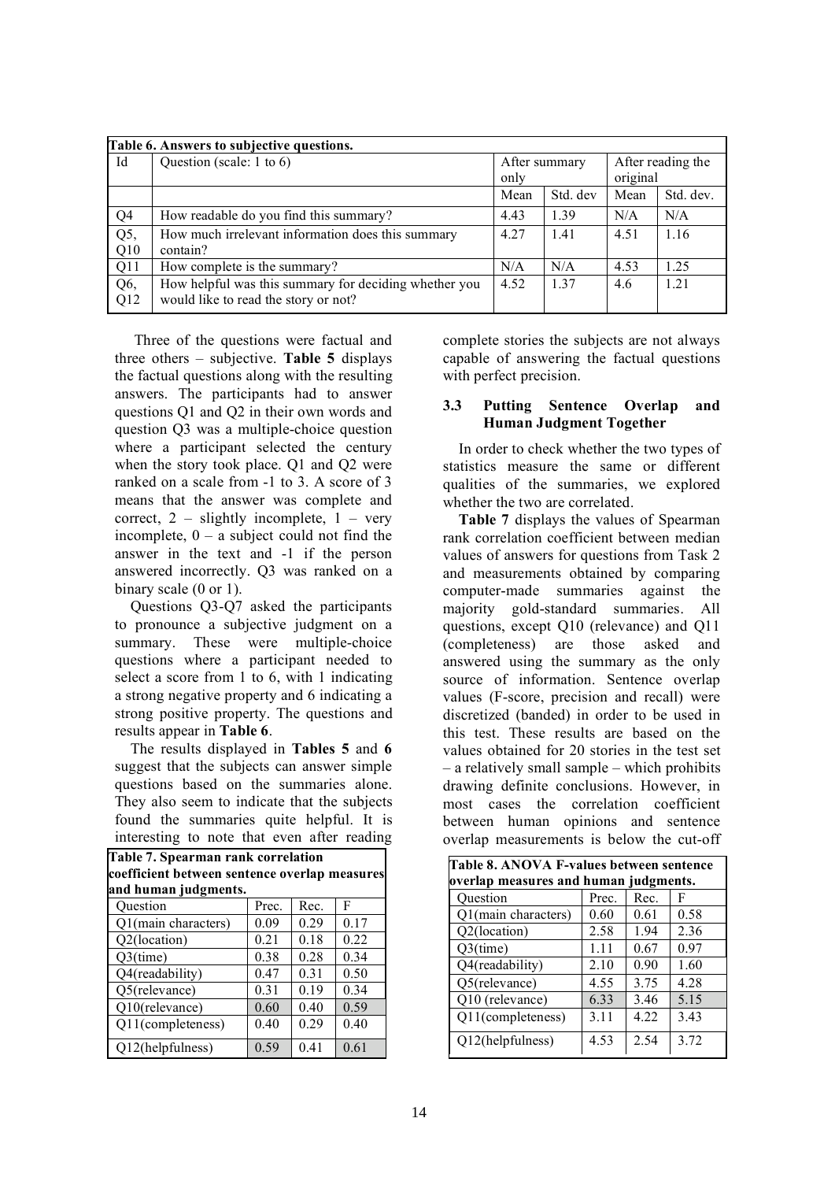| Table 6. Answers to subjective questions. |                                                       |               |          |                   |           |
|-------------------------------------------|-------------------------------------------------------|---------------|----------|-------------------|-----------|
| Id                                        | Question (scale: 1 to 6)                              | After summary |          | After reading the |           |
|                                           |                                                       | only          |          | original          |           |
|                                           |                                                       | Mean          | Std. dev | Mean              | Std. dev. |
| Q4                                        | How readable do you find this summary?                | 4.43          | 1.39     | N/A               | N/A       |
| Q5,                                       | How much irrelevant information does this summary     | 4.27          | 1.41     | 4.51              | 1.16      |
| Q10                                       | contain?                                              |               |          |                   |           |
| Q11                                       | How complete is the summary?                          | N/A           | N/A      | 4.53              | 1.25      |
| Q6,                                       | How helpful was this summary for deciding whether you | 4.52          | 1.37     | 4.6               | 1.21      |
| Q12                                       | would like to read the story or not?                  |               |          |                   |           |

Three of the questions were factual and three others – subjective. **Table 5** displays the factual questions along with the resulting answers. The participants had to answer questions Q1 and Q2 in their own words and question Q3 was a multiple-choice question where a participant selected the century when the story took place. Q1 and Q2 were ranked on a scale from -1 to 3. A score of 3 means that the answer was complete and correct,  $2$  – slightly incomplete,  $1$  – very incomplete,  $0 - a$  subject could not find the answer in the text and -1 if the person answered incorrectly. Q3 was ranked on a binary scale (0 or 1).

Questions Q3-Q7 asked the participants to pronounce a subjective judgment on a summary. These were multiple-choice questions where a participant needed to select a score from 1 to 6, with 1 indicating a strong negative property and 6 indicating a strong positive property. The questions and results appear in **Table 6**.

The results displayed in **Tables 5** and **6** suggest that the subjects can answer simple questions based on the summaries alone. They also seem to indicate that the subjects found the summaries quite helpful. It is interesting to note that even after reading

| coefficient between sentence overlap measures |       |      |      |  |  |  |
|-----------------------------------------------|-------|------|------|--|--|--|
| and human judgments.                          |       |      |      |  |  |  |
| Question                                      | Prec. | Rec. | F    |  |  |  |
| Q1(main characters)                           | 0.09  | 0.29 | 0.17 |  |  |  |
| Q2(location)                                  | 0.21  | 0.18 | 0.22 |  |  |  |
| $Q3$ (time)                                   | 0.38  | 0.28 | 0.34 |  |  |  |
| Q4(readability)                               | 0.47  | 0.31 | 0.50 |  |  |  |
| Q5(relevance)                                 | 0.31  | 0.19 | 0.34 |  |  |  |
| Q10(relevance)                                | 0.60  | 0.40 | 0.59 |  |  |  |
| Q11(completeness)                             | 0.40  | 0.29 | 0.40 |  |  |  |
| Q12(helpfulness)                              | 0.59  | 0.41 | 0.61 |  |  |  |

**Table 7. Spearman rank correlation**

complete stories the subjects are not always capable of answering the factual questions with perfect precision.

#### **3.3 Putting Sentence Overlap and Human Judgment Together**

In order to check whether the two types of statistics measure the same or different qualities of the summaries, we explored whether the two are correlated.

**Table 7** displays the values of Spearman rank correlation coefficient between median values of answers for questions from Task 2 and measurements obtained by comparing computer-made summaries against the majority gold-standard summaries. All questions, except Q10 (relevance) and Q11 (completeness) are those asked and answered using the summary as the only source of information. Sentence overlap values (F-score, precision and recall) were discretized (banded) in order to be used in this test. These results are based on the values obtained for 20 stories in the test set – a relatively small sample – which prohibits drawing definite conclusions. However, in most cases the correlation coefficient between human opinions and sentence overlap measurements is below the cut-off

| Table 8. ANOVA F-values between sentence |       |       |      |  |  |
|------------------------------------------|-------|-------|------|--|--|
| overlap measures and human judgments.    |       |       |      |  |  |
| Ouestion                                 | Prec. | Rec.  | F    |  |  |
| Q1(main characters)                      | 0.60  | 0.61  | 0.58 |  |  |
| Q2(location)                             | 2.58  | 1.94  | 2.36 |  |  |
| $Q3$ (time)                              | 1.11  | 0.67  | 0.97 |  |  |
| Q4(readability)                          | 2.10  | 0.90  | 1.60 |  |  |
| Q5(relevance)                            | 4.55  | 3.75  | 4.28 |  |  |
| Q10 (relevance)                          | 6.33  | 3.46  | 5.15 |  |  |
| Q11(completeness)                        | 3.11  | 4 2 2 | 3.43 |  |  |
| Q12(helpfulness)                         | 4.53  | 2.54  | 3.72 |  |  |